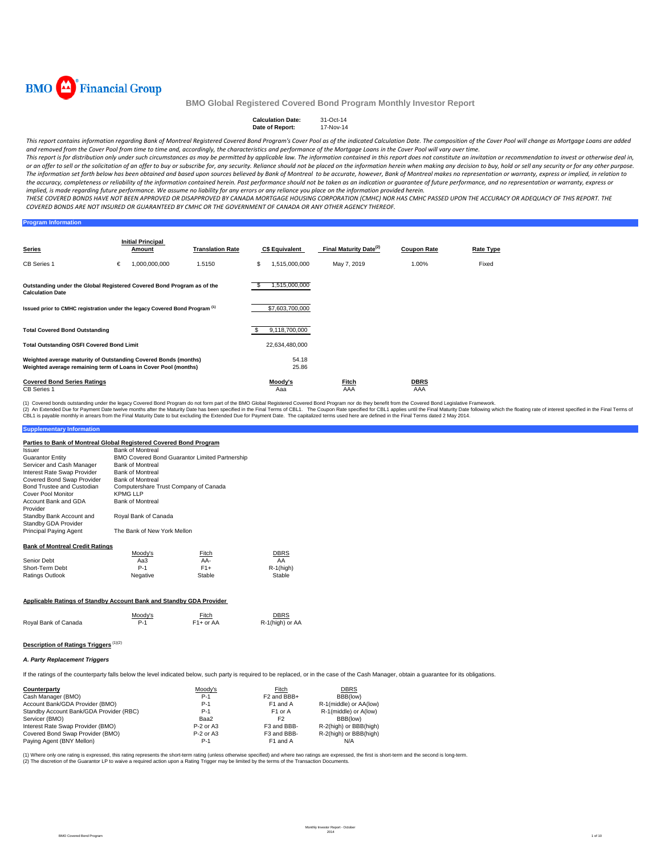

#### **Calculation Date:** 31-Oct-14 **Date of Report:**

This report contains information regarding Bank of Montreal Registered Covered Bond Program's Cover Pool as of the indicated Calculation Date. The composition of the Cover Pool will change as Mortgage Loans are added and removed from the Cover Pool from time to time and, accordingly, the characteristics and performance of the Mortgage Loans in the Cover Pool will vary over time.

This report is for distribution only under such circumstances as may be permitted by applicable law. The information contained in this report does not constitute an invitation or recommendation to invest or otherwise deal or an offer to sell or the solicitation of an offer to buy or subscribe for, any security. Reliance should not be placed on the information herein when making any decision to buy, hold or sell any security or for any other The information set forth below has been obtained and based upon sources believed by Bank of Montreal to be accurate, however, Bank of Montreal makes no representation or warranty, express or implied, in relation to the accuracy, completeness or reliability of the information contained herein. Past performance should not be taken as an indication or guarantee of future performance, and no representation or warranty, express or implied, is made regarding future performance. We assume no liability for any errors or any reliance you place on the information provided herein.

THESE COVERED BONDS HAVE NOT BEEN APPROVED OR DISAPPROVED BY CANADA MORTGAGE HOUSING CORPORATION (CMHC) NOR HAS CMHC PASSED UPON THE ACCURACY OR ADEQUACY OF THIS REPORT. THE COVERED BONDS ARE NOT INSURED OR GUARANTEED BY CMHC OR THE GOVERNMENT OF CANADA OR ANY OTHER AGENCY THEREOF.

**Program Information**

| Series                                                                                                                             |   | <b>Initial Principal</b><br><b>Amount</b> | <b>Translation Rate</b> |                | <b>C\$ Equivalent</b> | Final Maturity Date <sup>(2)</sup> | <b>Coupon Rate</b> | Rate Type |
|------------------------------------------------------------------------------------------------------------------------------------|---|-------------------------------------------|-------------------------|----------------|-----------------------|------------------------------------|--------------------|-----------|
| <b>CB Series 1</b>                                                                                                                 | € | 1,000,000,000                             | 1.5150                  | S              | 1,515,000,000         | May 7, 2019                        | 1.00%              | Fixed     |
| Outstanding under the Global Registered Covered Bond Program as of the<br><b>Calculation Date</b>                                  |   |                                           |                         |                | 1,515,000,000         |                                    |                    |           |
| Issued prior to CMHC registration under the legacy Covered Bond Program <sup>(1)</sup>                                             |   |                                           |                         |                | \$7,603,700,000       |                                    |                    |           |
| <b>Total Covered Bond Outstanding</b>                                                                                              |   |                                           |                         |                | 9,118,700,000         |                                    |                    |           |
| <b>Total Outstanding OSFI Covered Bond Limit</b>                                                                                   |   |                                           |                         |                | 22,634,480,000        |                                    |                    |           |
| Weighted average maturity of Outstanding Covered Bonds (months)<br>Weighted average remaining term of Loans in Cover Pool (months) |   |                                           |                         | 54.18<br>25.86 |                       |                                    |                    |           |
| <b>Covered Bond Series Ratings</b><br><b>CB Series 1</b>                                                                           |   |                                           |                         |                | Moody's<br>Aaa        | <u>Fitch</u><br>AAA                | <b>DBRS</b><br>AAA |           |

(1) Covered bonds outstanding under the legacy Covered Bond Program do not form part of the BMO Global Registered Covered Bond Program nor do they benefit from the Covered Bond Legislative Framework.<br>(2) An Extended Due fo

## **Supplementary Information**

| Parties to Bank of Montreal Global Registered Covered Bond Program |                                                       |        |              |
|--------------------------------------------------------------------|-------------------------------------------------------|--------|--------------|
| Issuer                                                             | <b>Bank of Montreal</b>                               |        |              |
| <b>Guarantor Entity</b>                                            | <b>BMO Covered Bond Guarantor Limited Partnership</b> |        |              |
| Servicer and Cash Manager                                          | <b>Bank of Montreal</b>                               |        |              |
| Interest Rate Swap Provider                                        | <b>Bank of Montreal</b>                               |        |              |
| Covered Bond Swap Provider                                         | <b>Bank of Montreal</b>                               |        |              |
| Bond Trustee and Custodian                                         | Computershare Trust Company of Canada                 |        |              |
| Cover Pool Monitor                                                 | <b>KPMG LLP</b>                                       |        |              |
| Account Bank and GDA                                               | <b>Bank of Montreal</b>                               |        |              |
| Provider                                                           |                                                       |        |              |
| Standby Bank Account and                                           | Royal Bank of Canada                                  |        |              |
| Standby GDA Provider                                               |                                                       |        |              |
| Principal Paying Agent                                             | The Bank of New York Mellon                           |        |              |
|                                                                    |                                                       |        |              |
| <b>Bank of Montreal Credit Ratings</b>                             |                                                       |        |              |
|                                                                    | Moody's                                               | Fitch  | DBRS         |
| Senior Debt                                                        | Aa3                                                   | AA-    | AA           |
| Short-Term Debt                                                    | $P-1$                                                 | $F1+$  | $R-1$ (high) |
| Ratings Outlook                                                    | Negative                                              | Stable | Stable       |
|                                                                    |                                                       |        |              |

### **Applicable Ratings of Standby Account Bank and Standby GDA Provider**

|                      | Moodv's | Fitch     | <b>DBRS</b>     |
|----------------------|---------|-----------|-----------------|
| Royal Bank of Canada | P-1     | F1+ or AA | R-1(high) or AA |

## **Description of Ratings Triggers** (1)(2)

### *A. Party Replacement Triggers*

If the ratings of the counterparty falls below the level indicated below, such party is required to be replaced, or in the case of the Cash Manager, obtain a guarantee for its obligations.

| Counterparty                            | Moody's     | Fitch                   | <b>DBRS</b>            |
|-----------------------------------------|-------------|-------------------------|------------------------|
| Cash Manager (BMO)                      | $P-1$       | F <sub>2</sub> and BBB+ | BBB(low)               |
| Account Bank/GDA Provider (BMO)         | $P-1$       | F1 and A                | R-1(middle) or AA(low) |
| Standby Account Bank/GDA Provider (RBC) | $P-1$       | F <sub>1</sub> or A     | R-1(middle) or A(low)  |
| Servicer (BMO)                          | Baa2        | F <sub>2</sub>          | BBB(low)               |
| Interest Rate Swap Provider (BMO)       | $P-2$ or A3 | F3 and BBB-             | R-2(high) or BBB(high) |
| Covered Bond Swap Provider (BMO)        | $P-2$ or A3 | F3 and BBB-             | R-2(high) or BBB(high) |
| Paying Agent (BNY Mellon)               | $P-1$       | F1 and A                | N/A                    |

(1) Where only one rating is expressed, this rating represents the short-term rating (unless otherwise specified) and where two ratings are expressed, the first is short-term and the second is long-term. (2) The discretion of the Guarantor LP to waive a required action upon a Rating Trigger may be limited by the terms of the Transaction Documents.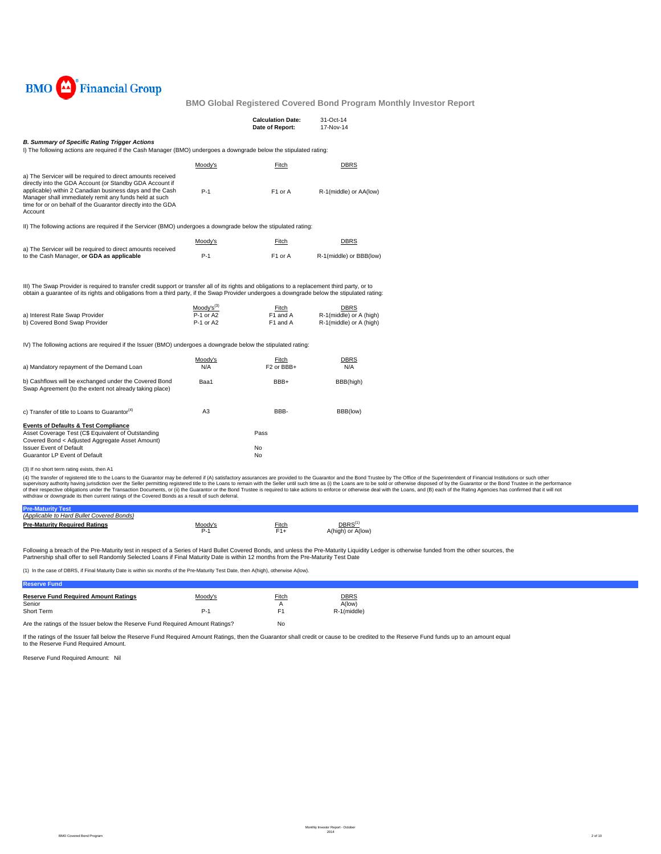

|                                                                                                                                                                                                                                                                                                                                                                    |                                            | <b>Calculation Date:</b><br>Date of Report: | 31-Oct-14<br>17-Nov-14                                     |
|--------------------------------------------------------------------------------------------------------------------------------------------------------------------------------------------------------------------------------------------------------------------------------------------------------------------------------------------------------------------|--------------------------------------------|---------------------------------------------|------------------------------------------------------------|
| <b>B. Summary of Specific Rating Trigger Actions</b><br>I) The following actions are required if the Cash Manager (BMO) undergoes a downgrade below the stipulated rating:                                                                                                                                                                                         |                                            |                                             |                                                            |
|                                                                                                                                                                                                                                                                                                                                                                    | Moody's                                    | Fitch                                       | <b>DBRS</b>                                                |
| a) The Servicer will be required to direct amounts received<br>directly into the GDA Account (or Standby GDA Account if<br>applicable) within 2 Canadian business days and the Cash<br>Manager shall immediately remit any funds held at such<br>time for or on behalf of the Guarantor directly into the GDA<br>Account                                           | $P-1$                                      | F1 or A                                     | R-1(middle) or AA(low)                                     |
| II) The following actions are required if the Servicer (BMO) undergoes a downgrade below the stipulated rating:                                                                                                                                                                                                                                                    |                                            |                                             |                                                            |
|                                                                                                                                                                                                                                                                                                                                                                    | Moody's                                    | Fitch                                       | <b>DBRS</b>                                                |
| a) The Servicer will be required to direct amounts received<br>to the Cash Manager, or GDA as applicable                                                                                                                                                                                                                                                           | $P-1$                                      | F1 or A                                     | R-1(middle) or BBB(low)                                    |
| III) The Swap Provider is required to transfer credit support or transfer all of its rights and obligations to a replacement third party, or to<br>obtain a guarantee of its rights and obligations from a third party, if the Swap Provider undergoes a downgrade below the stipulated rating:<br>a) Interest Rate Swap Provider<br>b) Covered Bond Swap Provider | $Modv's^{(3)}$<br>$P-1$ or A2<br>P-1 or A2 | Fitch<br>F1 and A<br>F1 and A               | DBRS<br>R-1(middle) or A (high)<br>R-1(middle) or A (high) |
| IV) The following actions are required if the Issuer (BMO) undergoes a downgrade below the stipulated rating:                                                                                                                                                                                                                                                      |                                            |                                             |                                                            |
| a) Mandatory repayment of the Demand Loan                                                                                                                                                                                                                                                                                                                          | Moody's<br>N/A                             | Fitch<br>F <sub>2</sub> or BBB+             | <b>DBRS</b><br>N/A                                         |
| b) Cashflows will be exchanged under the Covered Bond<br>Swap Agreement (to the extent not already taking place)                                                                                                                                                                                                                                                   | Baa1                                       | BBB+                                        | BBB(high)                                                  |
| c) Transfer of title to Loans to Guarantor <sup>(4)</sup>                                                                                                                                                                                                                                                                                                          | A <sub>3</sub>                             | BBB-                                        | BBB(low)                                                   |
| <b>Events of Defaults &amp; Test Compliance</b><br>Asset Coverage Test (C\$ Equivalent of Outstanding<br>Covered Bond < Adjusted Aggregate Asset Amount)                                                                                                                                                                                                           |                                            | Pass                                        |                                                            |
| <b>Issuer Event of Default</b><br>Guarantor LP Event of Default                                                                                                                                                                                                                                                                                                    |                                            | No<br>No                                    |                                                            |

## (3) If no short term rating exists, then A1

(4) The transfer of registered title to the Loans to the Guarantor may be deferred if (A) satisfactory assurances are provided to the Guarantor and the Bond Trustee by The Office of the Superintendent of Financial Institut

| Dro                                       |                      |               |                   |  |
|-------------------------------------------|----------------------|---------------|-------------------|--|
| (Applicable to Hard Bullet Covered Bonds) |                      |               |                   |  |
| <b>Pre-Maturity Required Ratings</b>      | /lood<br>$\sim$<br>⊷ | Fitch.<br>$-$ | DBRS <sup>(</sup> |  |
|                                           |                      |               | or A(low)         |  |

Following a breach of the Pre-Maturity test in respect of a Series of Hard Bullet Covered Bonds, and unless the Pre-Maturity Liquidity Ledger is otherwise funded from the other sources, the Partnership shall offer to sell Randomly Selected Loans if Final Maturity Date is within 12 months from the Pre-Maturity Test Date

(1) In the case of DBRS, if Final Maturity Date is within six months of the Pre-Maturity Test Date, then A(high), otherwise A(low).

| <b>DBRS</b><br><b>Reserve Fund Required Amount Ratings</b><br>Moody's<br><b>Fitch</b><br>A(low)<br>Senior<br>Short Term<br>. .<br>R-1(middle)<br>P., |  |  |
|------------------------------------------------------------------------------------------------------------------------------------------------------|--|--|
|                                                                                                                                                      |  |  |
|                                                                                                                                                      |  |  |

Are the ratings of the Issuer below the Reserve Fund Required Amount Ratings? No

If the ratings of the Issuer fall below the Reserve Fund Required Amount Ratings, then the Guarantor shall credit or cause to be credited to the Reserve Fund funds up to an amount equal to the Reserve Fund Required Amount.

Reserve Fund Required Amount: Nil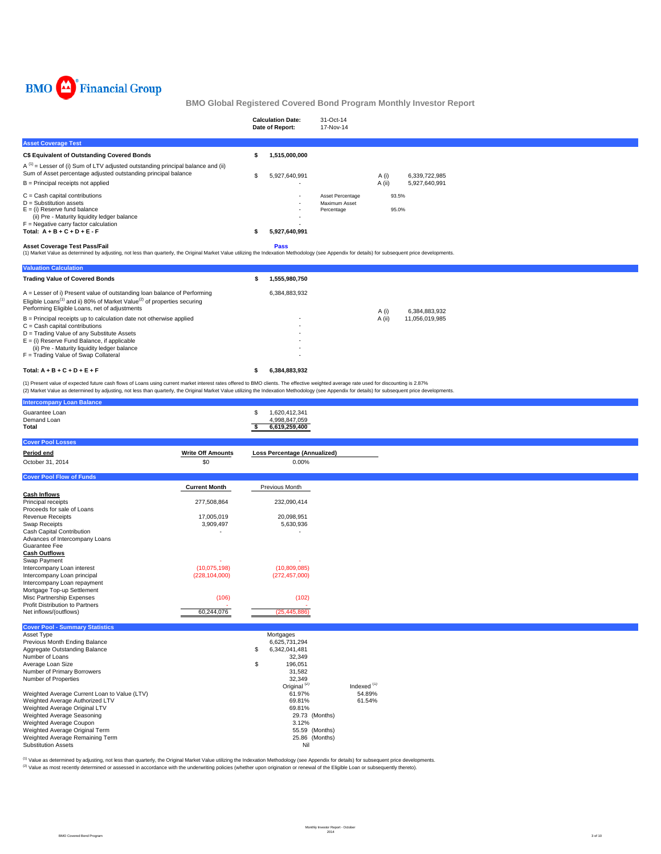

|                                                                                                                                                                                                                                            |   | <b>Calculation Date:</b><br>Date of Report: | 31-Oct-14<br>17-Nov-14                          |                 |                                |  |
|--------------------------------------------------------------------------------------------------------------------------------------------------------------------------------------------------------------------------------------------|---|---------------------------------------------|-------------------------------------------------|-----------------|--------------------------------|--|
| <b>Asset Coverage Test</b>                                                                                                                                                                                                                 |   |                                             |                                                 |                 |                                |  |
| C\$ Equivalent of Outstanding Covered Bonds                                                                                                                                                                                                |   | 1,515,000,000                               |                                                 |                 |                                |  |
| $A^{(1)}$ = Lesser of (i) Sum of LTV adjusted outstanding principal balance and (ii)<br>Sum of Asset percentage adjusted outstanding principal balance<br>$B =$ Principal receipts not applied                                             |   | 5,927,640,991                               |                                                 | A (i)<br>A (ii) | 6,339,722,985<br>5,927,640,991 |  |
| $C =$ Cash capital contributions<br>$D =$ Substitution assets<br>$E =$ (i) Reserve fund balance<br>(ii) Pre - Maturity liquidity ledger balance<br>$F =$ Negative carry factor calculation<br>Total: $A + B + C + D + E - F$               |   | 5,927,640,991                               | Asset Percentage<br>Maximum Asset<br>Percentage |                 | 93.5%<br>95.0%                 |  |
| <b>Asset Coverage Test Pass/Fail</b><br>(1) Market Value as determined by adjusting, not less than quarterly, the Original Market Value utilizing the Indexation Methodology (see Appendix for details) for subsequent price developments. |   | <b>Pass</b>                                 |                                                 |                 |                                |  |
| <b>Valuation Calculation</b>                                                                                                                                                                                                               |   |                                             |                                                 |                 |                                |  |
| <b>Trading Value of Covered Bonds</b>                                                                                                                                                                                                      | s | 1.555.980.750                               |                                                 |                 |                                |  |

| Total: $A + B + C + D + E + F$                                                                                                                   | 6.384.883.932 |        |                |
|--------------------------------------------------------------------------------------------------------------------------------------------------|---------------|--------|----------------|
| F = Trading Value of Swap Collateral                                                                                                             |               |        |                |
| (ii) Pre - Maturity liquidity ledger balance                                                                                                     |               |        |                |
| $E =$ (i) Reserve Fund Balance, if applicable                                                                                                    |               |        |                |
| D = Trading Value of any Substitute Assets                                                                                                       |               |        |                |
| $C =$ Cash capital contributions                                                                                                                 |               |        |                |
| $B =$ Principal receipts up to calculation date not otherwise applied                                                                            |               | A (ii) | 11,056,019,985 |
| Eligible Loans <sup>(1)</sup> and ii) 80% of Market Value <sup>(2)</sup> of properties securing<br>Performing Eligible Loans, net of adjustments |               | A (i)  | 6.384.883.932  |
| $A =$ Lesser of i) Present value of outstanding loan balance of Performing                                                                       | 6.384.883.932 |        |                |
|                                                                                                                                                  |               |        |                |

(1) Present value of expected future cash flows of Loans using current market interest rates offered to BMO clients. The effective weighted average rate used for discounting is 2.87%<br>(2) Market Value as determined by adjus

| <b>Intercompany Loan Balance</b>                     |                          |                              |                        |
|------------------------------------------------------|--------------------------|------------------------------|------------------------|
| Guarantee Loan                                       |                          | \$<br>1,620,412,341          |                        |
| Demand Loan                                          |                          | 4,998,847,059                |                        |
| Total                                                |                          | 6,619,259,400<br>s.          |                        |
|                                                      |                          |                              |                        |
| <b>Cover Pool Losses</b>                             |                          |                              |                        |
| Period end                                           | <b>Write Off Amounts</b> | Loss Percentage (Annualized) |                        |
| October 31, 2014                                     | \$0                      | 0.00%                        |                        |
|                                                      |                          |                              |                        |
| <b>Cover Pool Flow of Funds</b>                      |                          |                              |                        |
|                                                      | <b>Current Month</b>     | Previous Month               |                        |
| <b>Cash Inflows</b>                                  |                          |                              |                        |
| Principal receipts                                   | 277,508,864              | 232,090,414                  |                        |
| Proceeds for sale of Loans                           |                          |                              |                        |
| Revenue Receipts                                     | 17,005,019               | 20,098,951                   |                        |
| <b>Swap Receipts</b>                                 | 3,909,497                | 5,630,936                    |                        |
| Cash Capital Contribution                            |                          |                              |                        |
| Advances of Intercompany Loans                       |                          |                              |                        |
| Guarantee Fee                                        |                          |                              |                        |
| <b>Cash Outflows</b>                                 |                          |                              |                        |
| Swap Payment                                         |                          |                              |                        |
| Intercompany Loan interest                           | (10,075,198)             | (10,809,085)                 |                        |
| Intercompany Loan principal                          | (228, 104, 000)          | (272, 457, 000)              |                        |
| Intercompany Loan repayment                          |                          |                              |                        |
| Mortgage Top-up Settlement                           |                          |                              |                        |
| Misc Partnership Expenses                            | (106)                    | (102)                        |                        |
| Profit Distribution to Partners                      | ×                        |                              |                        |
| Net inflows/(outflows)                               | 60,244,076               | (25, 445, 886)               |                        |
|                                                      |                          |                              |                        |
| <b>Cover Pool - Summary Statistics</b><br>Asset Type |                          | Mortgages                    |                        |
| Previous Month Ending Balance                        |                          | 6,625,731,294                |                        |
| Aggregate Outstanding Balance                        |                          | \$<br>6,342,041,481          |                        |
| Number of Loans                                      |                          | 32,349                       |                        |
| Average Loan Size                                    |                          | \$<br>196,051                |                        |
| Number of Primary Borrowers                          |                          | 31,582                       |                        |
| Number of Properties                                 |                          | 32,349                       |                        |
|                                                      |                          | Original <sup>(2)</sup>      | Indexed <sup>(1)</sup> |
| Weighted Average Current Loan to Value (LTV)         |                          | 61.97%                       | 54.89%                 |
| Weighted Average Authorized LTV                      |                          | 69.81%                       | 61.54%                 |
| Weighted Average Original LTV                        |                          | 69.81%                       |                        |
| Weighted Average Seasoning                           |                          | 29.73 (Months)               |                        |
| Weighted Average Coupon                              |                          | 3.12%                        |                        |
| Weighted Average Original Term                       |                          | 55.59 (Months)               |                        |
| Weighted Average Remaining Term                      |                          | 25.86 (Months)               |                        |
| <b>Substitution Assets</b>                           |                          | Nil                          |                        |

<sup>(1)</sup> Value as determined by adjusting, not less than quarterly, the Original Market Value utilizing the Indexation Methodology (see Appendix for details) for subsequent price developments.<br><sup>(2)</sup> Value as most recently det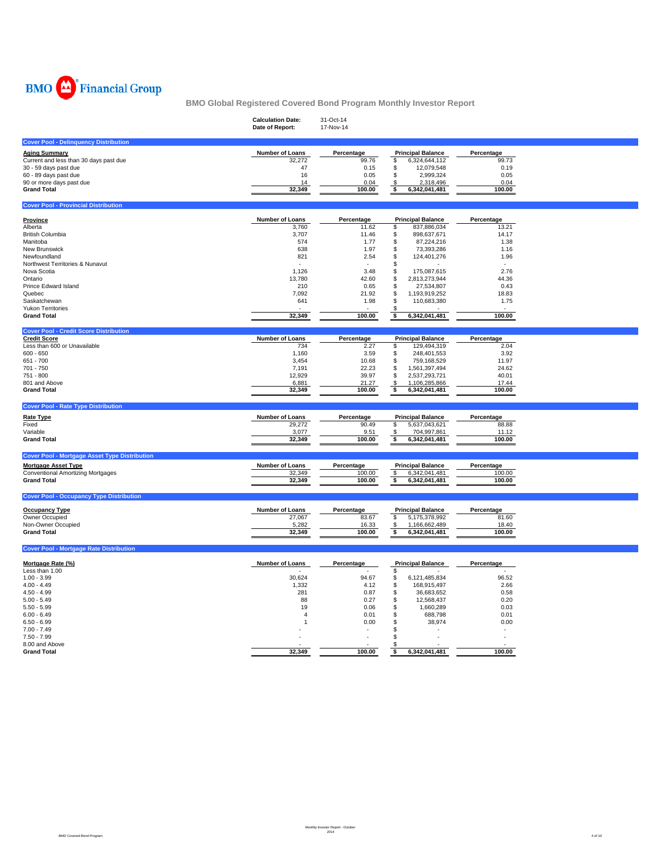

|                                                      | <b>Calculation Date:</b><br>Date of Report: | 31-Oct-14<br>17-Nov-14 |                          |            |
|------------------------------------------------------|---------------------------------------------|------------------------|--------------------------|------------|
| <b>Cover Pool - Delinquency Distribution</b>         |                                             |                        |                          |            |
| Aging Summary                                        | Number of Loans                             | Percentage             | <b>Principal Balance</b> | Percentage |
| Current and less than 30 days past due               | 32,272                                      | 99.76                  | \$<br>6,324,644,112      | 99.73      |
| 30 - 59 days past due                                | 47                                          | 0.15                   | 12,079,548<br>\$         | 0.19       |
| 60 - 89 days past due                                | 16                                          | 0.05                   | \$<br>2,999,324          | 0.05       |
| 90 or more days past due                             | 14                                          | 0.04                   | 2,318,496<br>\$          | 0.04       |
| <b>Grand Total</b>                                   | 32,349                                      | 100.00                 | \$<br>6,342,041,481      | 100.00     |
|                                                      |                                             |                        |                          |            |
| <b>Cover Pool - Provincial Distribution</b>          |                                             |                        |                          |            |
| Province                                             | Number of Loans                             | Percentage             | <b>Principal Balance</b> | Percentage |
| Alberta                                              | 3,760                                       | 11.62                  | \$<br>837,886,034        | 13.21      |
| British Columbia                                     | 3,707                                       | 11.46                  | \$<br>898,637,671        | 14.17      |
| Manitoba                                             | 574                                         | 1.77                   | \$<br>87,224,216         | 1.38       |
| New Brunswick                                        | 638                                         | 1.97                   | \$<br>73,393,286         | 1.16       |
| Newfoundland                                         | 821                                         | 2.54                   | 124,401,276<br>\$        | 1.96       |
| Northwest Territories & Nunavut                      | $\sim$                                      |                        | \$                       |            |
| Nova Scotia                                          | 1,126                                       | 3.48                   | 175,087,615<br>\$        | 2.76       |
| Ontario                                              | 13,780                                      | 42.60                  | \$<br>2,813,273,944      | 44.36      |
| Prince Edward Island                                 | 210                                         | 0.65                   | \$<br>27,534,807         | 0.43       |
| Quebec                                               | 7,092                                       | 21.92                  | \$<br>1,193,919,252      | 18.83      |
| Saskatchewan                                         | 641                                         | 1.98                   | \$<br>110,683,380        | 1.75       |
| <b>Yukon Territories</b>                             |                                             |                        | S                        |            |
| <b>Grand Total</b>                                   | 32,349                                      | 100.00                 | 6,342,041,481<br>\$      | 100.00     |
| <b>Cover Pool - Credit Score Distribution</b>        |                                             |                        |                          |            |
| <b>Credit Score</b>                                  | Number of Loans                             | Percentage             | <b>Principal Balance</b> | Percentage |
| Less than 600 or Unavailable                         | 734                                         | 2.27                   | \$<br>129,494,319        | 2.04       |
| $600 - 650$                                          | 1,160                                       | 3.59                   | \$<br>248,401,553        | 3.92       |
| 651 - 700                                            | 3,454                                       | 10.68                  | \$<br>759,168,529        | 11.97      |
| 701 - 750                                            | 7,191                                       | 22.23                  | \$<br>1,561,397,494      | 24.62      |
| 751 - 800                                            | 12,929                                      | 39.97                  | \$<br>2,537,293,721      | 40.01      |
| 801 and Above                                        | 6,881                                       | 21.27                  | \$<br>1,106,285,866      | 17.44      |
| <b>Grand Total</b>                                   | 32,349                                      | 100.00                 | \$<br>6,342,041,481      | 100.00     |
| <b>Cover Pool - Rate Type Distribution</b>           |                                             |                        |                          |            |
| <b>Rate Type</b>                                     | Number of Loans                             | Percentage             | <b>Principal Balance</b> | Percentage |
| Fixed                                                | 29,272                                      | 90.49                  | 5,637,043,621<br>\$      | 88.88      |
| Variable                                             | 3,077                                       | 9.51                   | 704,997,861<br>-\$       | 11.12      |
| <b>Grand Total</b>                                   | 32,349                                      | 100.00                 | \$<br>6,342,041,481      | 100.00     |
|                                                      |                                             |                        |                          |            |
| <b>Cover Pool - Mortgage Asset Type Distribution</b> |                                             |                        |                          |            |
| <b>Mortgage Asset Type</b>                           | Number of Loans                             | Percentage             | <b>Principal Balance</b> | Percentage |
| <b>Conventional Amortizing Mortgages</b>             | 32,349                                      | 100.00                 | 6,342,041,481<br>\$      | 100.00     |
| <b>Grand Total</b>                                   | 32,349                                      | 100.00                 | 6,342,041,481<br>\$      | 100.00     |
|                                                      |                                             |                        |                          |            |
| <b>Cover Pool - Occupancy Type Distribution</b>      |                                             |                        |                          |            |
| <b>Occupancy Type</b>                                | <b>Number of Loans</b>                      | Percentage             | <b>Principal Balance</b> | Percentage |
| Owner Occupied                                       | 27,067                                      | 83.67                  | \$<br>5,175,378,992      | 81.60      |
| Non-Owner Occupied                                   | 5,282                                       | 16.33                  | 1,166,662,489<br>\$      | 18.40      |
| <b>Grand Total</b>                                   | 32,349                                      | 100.00                 | 6,342,041,481<br>\$      | 100.00     |
| <b>Cover Pool - Mortgage Rate Distribution</b>       |                                             |                        |                          |            |
|                                                      |                                             |                        |                          |            |
| Mortgage Rate (%)                                    | <b>Number of Loans</b>                      | Percentage             | <b>Principal Balance</b> | Percentage |
| Less than 1.00                                       |                                             |                        | \$                       |            |
| $1.00 - 3.99$                                        | 30,624                                      | 94.67                  | \$<br>6,121,485,834      | 96.52      |
| $4.00 - 4.49$                                        | 1,332                                       | 4.12                   | \$<br>168,915,497        | 2.66       |
| $4.50 - 4.99$                                        | 281                                         | 0.87                   | 36,683,652<br>\$         | 0.58       |
| $5.00 - 5.49$                                        | 88                                          | 0.27                   | \$<br>12,568,437         | 0.20       |
| $5.50 - 5.99$                                        | 19                                          | 0.06                   | \$<br>1,660,289          | 0.03       |
| $6.00 - 6.49$                                        | $\overline{4}$                              | 0.01                   | \$<br>688,798            | 0.01       |
| $6.50 - 6.99$                                        |                                             | 0.00                   | \$<br>38,974             | 0.00       |
| $7.00 - 7.49$                                        |                                             | ×,                     | S                        |            |
| $7.50 - 7.99$                                        |                                             |                        | \$                       |            |
| 8.00 and Above                                       |                                             |                        | -S                       |            |
| <b>Grand Total</b>                                   | 32.349                                      | 100.00                 | 6,342,041,481<br>\$      | 100.00     |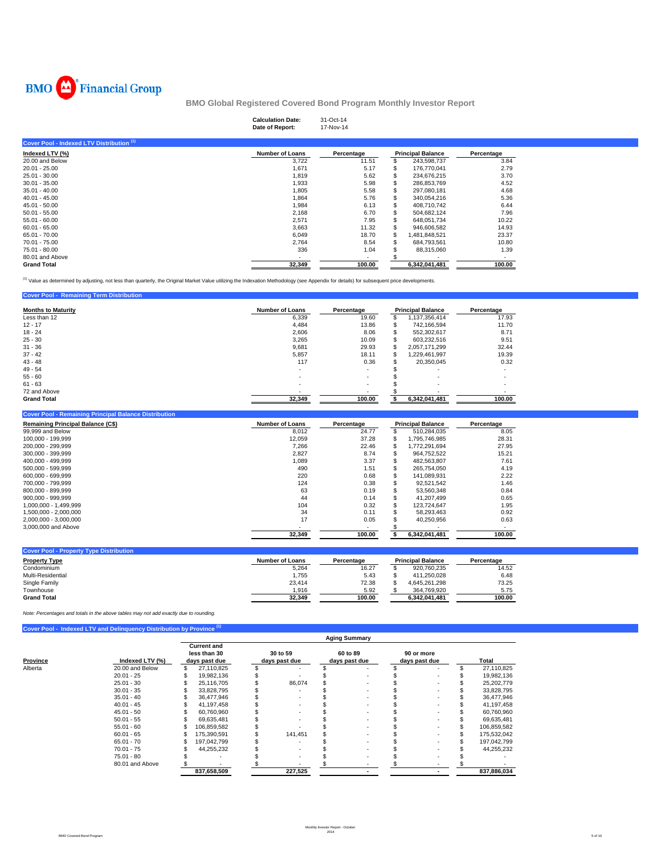

**Cover Pool - Remaining Term Distribution** 

**BMO Global Registered Covered Bond Program Monthly Investor Report**

|                                           | <b>Calculation Date:</b><br>Date of Report: | 31-Oct-14<br>17-Nov-14 |   |                          |            |  |
|-------------------------------------------|---------------------------------------------|------------------------|---|--------------------------|------------|--|
| Cover Pool - Indexed LTV Distribution (1) |                                             |                        |   |                          |            |  |
| Indexed LTV (%)                           | <b>Number of Loans</b>                      | Percentage             |   | <b>Principal Balance</b> | Percentage |  |
| 20.00 and Below                           | 3,722                                       | 11.51                  |   | 243,598,737              | 3.84       |  |
| $20.01 - 25.00$                           | 1,671                                       | 5.17                   |   | 176,770,041              | 2.79       |  |
| $25.01 - 30.00$                           | 1,819                                       | 5.62                   | S | 234,676,215              | 3.70       |  |
| $30.01 - 35.00$                           | 1,933                                       | 5.98                   | S | 286,853,769              | 4.52       |  |
| $35.01 - 40.00$                           | 1,805                                       | 5.58                   |   | 297,080,181              | 4.68       |  |
| $40.01 - 45.00$                           | 1,864                                       | 5.76                   | S | 340,054,216              | 5.36       |  |
| $45.01 - 50.00$                           | 1,984                                       | 6.13                   | S | 408,710,742              | 6.44       |  |
| $50.01 - 55.00$                           | 2,168                                       | 6.70                   | S | 504,682,124              | 7.96       |  |
| $55.01 - 60.00$                           | 2,571                                       | 7.95                   | S | 648,051,734              | 10.22      |  |
| $60.01 - 65.00$                           | 3,663                                       | 11.32                  | S | 946,606,582              | 14.93      |  |
| 65.01 - 70.00                             | 6,049                                       | 18.70                  | S | 1,481,848,521            | 23.37      |  |
| 70.01 - 75.00                             | 2,764                                       | 8.54                   | s | 684,793,561              | 10.80      |  |
| 75.01 - 80.00                             | 336                                         | 1.04                   |   | 88,315,060               | 1.39       |  |
| 80.01 and Above                           |                                             | $\sim$                 |   |                          | ۰.         |  |
| <b>Grand Total</b>                        | 32,349                                      | 100.00                 |   | 6,342,041,481            | 100.00     |  |

<sup>(1)</sup> Value as determined by adjusting, not less than quarterly, the Original Market Value utilizing the Indexation Methodology (see Appendix for details) for subsequent price developments.

| <u><b>Primerie</b></u> Profited the Profits of the Company of the Company of the Company of the Company of the Company of the Company of the Company of the Company of the Company of the Company of the Company of the Company of the C |                        |                          |    |                          |            |
|------------------------------------------------------------------------------------------------------------------------------------------------------------------------------------------------------------------------------------------|------------------------|--------------------------|----|--------------------------|------------|
| <b>Months to Maturity</b>                                                                                                                                                                                                                | <b>Number of Loans</b> | Percentage               |    | <b>Principal Balance</b> | Percentage |
| Less than 12                                                                                                                                                                                                                             | 6,339                  | 19.60                    | S  | 1,137,356,414            | 17.93      |
| $12 - 17$                                                                                                                                                                                                                                | 4,484                  | 13.86                    | S  | 742.166.594              | 11.70      |
| $18 - 24$                                                                                                                                                                                                                                | 2,606                  | 8.06                     | S  | 552,302,617              | 8.71       |
| $25 - 30$                                                                                                                                                                                                                                | 3,265                  | 10.09                    | S  | 603,232,516              | 9.51       |
| $31 - 36$                                                                                                                                                                                                                                | 9,681                  | 29.93                    | S  | 2,057,171,299            | 32.44      |
| $37 - 42$                                                                                                                                                                                                                                | 5,857                  | 18.11                    | \$ | 1.229.461.997            | 19.39      |
| $43 - 48$                                                                                                                                                                                                                                | 117                    | 0.36                     | S  | 20,350,045               | 0.32       |
| $49 - 54$                                                                                                                                                                                                                                | ۰.                     | ۰.                       |    |                          |            |
| $55 - 60$                                                                                                                                                                                                                                |                        | $\overline{\phantom{a}}$ |    | $\overline{\phantom{a}}$ |            |
| $61 - 63$                                                                                                                                                                                                                                | ۰                      | $\overline{\phantom{a}}$ |    |                          |            |
| 72 and Above                                                                                                                                                                                                                             |                        | $\overline{\phantom{a}}$ |    |                          |            |
| <b>Grand Total</b>                                                                                                                                                                                                                       | 32.349                 | 100.00                   |    | 6,342,041,481            | 100.00     |

| <b>Cover Pool - Remaining Principal Balance Distribution</b> |                        |            |   |                          |            |
|--------------------------------------------------------------|------------------------|------------|---|--------------------------|------------|
| <b>Remaining Principal Balance (C\$)</b>                     | <b>Number of Loans</b> | Percentage |   | <b>Principal Balance</b> | Percentage |
| 99,999 and Below                                             | 8.012                  | 24.77      | ж | 510.284.035              | 8.05       |
| 100.000 - 199.999                                            | 12.059                 | 37.28      | S | 1.795.746.985            | 28.31      |
| 200.000 - 299.999                                            | 7.266                  | 22.46      | S | 1.772.291.694            | 27.95      |
| 300.000 - 399.999                                            | 2.827                  | 8.74       |   | 964.752.522              | 15.21      |
| 400.000 - 499.999                                            | 1,089                  | 3.37       |   | 482.563.807              | 7.61       |
| 500.000 - 599.999                                            | 490                    | 1.51       | ж | 265.754.050              | 4.19       |
| 600.000 - 699.999                                            | 220                    | 0.68       | S | 141.089.931              | 2.22       |
| 700.000 - 799.999                                            | 124                    | 0.38       |   | 92.521.542               | 1.46       |
| 800.000 - 899.999                                            | 63                     | 0.19       |   | 53.560.348               | 0.84       |
| 900.000 - 999.999                                            | 44                     | 0.14       |   | 41.207.499               | 0.65       |
| 1.000.000 - 1.499.999                                        | 104                    | 0.32       |   | 123.724.647              | 1.95       |
| 1.500.000 - 2.000.000                                        | 34                     | 0.11       |   | 58.293.463               | 0.92       |
| 2.000.000 - 3.000.000                                        | 17                     | 0.05       |   | 40.250.956               | 0.63       |
| 3,000,000 and Above                                          |                        |            |   |                          |            |
|                                                              | 32.349                 | 100.00     |   | 6.342.041.481            | 100.00     |

| <b>Cover Pool - Property Type Distribution</b> |                 |            |                          |            |
|------------------------------------------------|-----------------|------------|--------------------------|------------|
| <b>Property Type</b>                           | Number of Loans | Percentage | <b>Principal Balance</b> | Percentage |
| Condominium                                    | 5,264           | 16.27      | 920.760.235              | 14.52      |
| Multi-Residential                              | 1.755           | 5.43       | 411.250.028              | 6.48       |
| Single Family                                  | 23.414          | 72.38      | 4.645.261.298            | 73.25      |
| Townhouse                                      | 1.916           | 5.92       | 364.769.920              | 5.75       |
| <b>Grand Total</b>                             | 32.349          | 100.00     | 6.342.041.481            | 100.00     |

*Note: Percentages and totals in the above tables may not add exactly due to rounding.*

|          | Cover Pool - Indexed LTV and Delinquency Distribution by Province (1) |                                                     |             |                           |         |                           |                      |                             |  |                  |  |
|----------|-----------------------------------------------------------------------|-----------------------------------------------------|-------------|---------------------------|---------|---------------------------|----------------------|-----------------------------|--|------------------|--|
|          |                                                                       |                                                     |             |                           |         |                           | <b>Aging Summary</b> |                             |  |                  |  |
| Province | Indexed LTV (%)                                                       | <b>Current and</b><br>less than 30<br>days past due |             | 30 to 59<br>days past due |         | 60 to 89<br>days past due |                      | 90 or more<br>days past due |  | Total            |  |
| Alberta  | 20.00 and Below                                                       |                                                     | 27,110,825  |                           |         |                           |                      |                             |  | \$<br>27,110,825 |  |
|          | $20.01 - 25$                                                          |                                                     | 19,982,136  |                           |         |                           |                      |                             |  | 19,982,136       |  |
|          | $25.01 - 30$                                                          |                                                     | 25.116.705  |                           | 86.074  |                           |                      |                             |  | 25,202,779       |  |
|          | $30.01 - 35$                                                          |                                                     | 33,828,795  |                           |         |                           | $\sim$               |                             |  | 33,828,795       |  |
|          | $35.01 - 40$                                                          |                                                     | 36,477,946  |                           |         |                           |                      |                             |  | 36,477,946       |  |
|          | $40.01 - 45$                                                          |                                                     | 41.197.458  |                           |         |                           | ۰                    |                             |  | 41,197,458       |  |
|          | $45.01 - 50$                                                          |                                                     | 60,760,960  |                           |         |                           |                      |                             |  | 60,760,960       |  |
|          | $50.01 - 55$                                                          |                                                     | 69.635.481  |                           |         |                           |                      |                             |  | 69,635,481       |  |
|          | $55.01 - 60$                                                          |                                                     | 106,859,582 |                           |         |                           | ۰                    |                             |  | 106,859,582      |  |
|          | $60.01 - 65$                                                          |                                                     | 175.390.591 |                           | 141.451 |                           |                      |                             |  | 175,532,042      |  |
|          | $65.01 - 70$                                                          |                                                     | 197,042,799 |                           |         |                           |                      |                             |  | 197,042,799      |  |
|          | $70.01 - 75$                                                          |                                                     | 44,255,232  |                           |         |                           |                      |                             |  | 44,255,232       |  |
|          | $75.01 - 80$                                                          |                                                     |             |                           |         |                           |                      |                             |  |                  |  |
|          | 80.01 and Above                                                       |                                                     |             |                           |         |                           |                      |                             |  |                  |  |
|          |                                                                       |                                                     | 837,658,509 |                           | 227,525 |                           |                      |                             |  | 837,886,034      |  |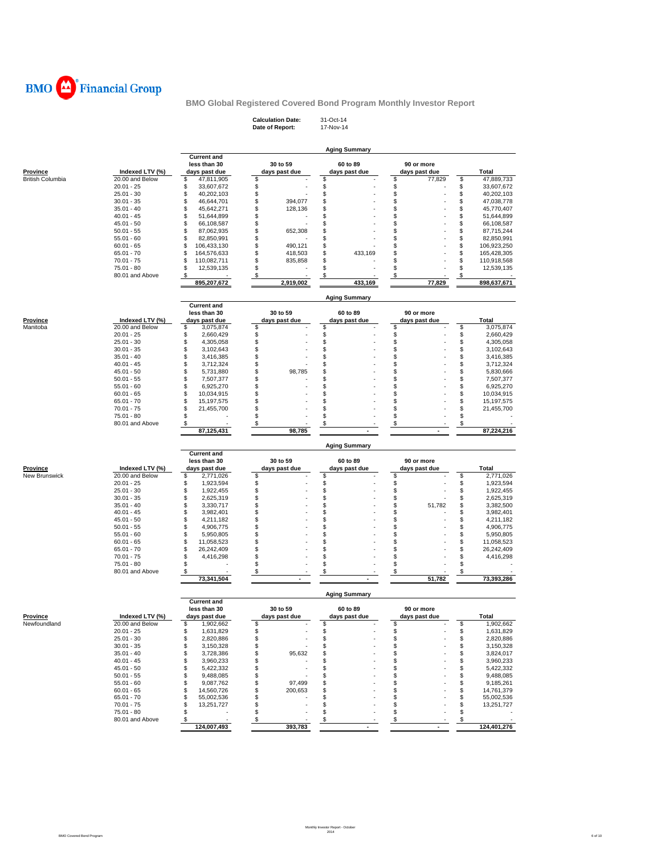

**Calculation Date:** 31-Oct-14 **Date of Report:** 17-Nov-14

| <b>Province</b>           | Indexed LTV (%)                    | <b>Current and</b><br>less than 30<br>days past due | 30 to 59<br>days past due | 60 to 89<br>days past due | 90 or more<br>days past due |    | Total              |  |  |
|---------------------------|------------------------------------|-----------------------------------------------------|---------------------------|---------------------------|-----------------------------|----|--------------------|--|--|
| <b>British Columbia</b>   | 20.00 and Below                    | \$<br>47,811,905                                    | \$                        | \$                        | \$<br>77,829                | \$ | 47,889,733         |  |  |
|                           | $20.01 - 25$                       | \$<br>33,607,672                                    | \$                        | \$                        | \$                          | \$ | 33,607,672         |  |  |
|                           | $25.01 - 30$                       | \$<br>40,202,103                                    | \$                        | \$                        | \$                          | \$ | 40,202,103         |  |  |
|                           | $30.01 - 35$                       | \$<br>46,644,701                                    | \$<br>394,077             | \$                        | \$                          | \$ | 47,038,778         |  |  |
|                           | $35.01 - 40$                       | \$<br>45,642,271                                    | \$<br>128,136             | \$                        | \$                          | \$ | 45,770,407         |  |  |
|                           | $40.01 - 45$                       | \$<br>51,644,899                                    | \$                        | \$                        | \$                          | \$ | 51,644,899         |  |  |
|                           | $45.01 - 50$                       | \$<br>66,108,587                                    | \$                        | \$                        | \$                          | \$ | 66,108,587         |  |  |
|                           | $50.01 - 55$                       | \$<br>87,062,935                                    | \$<br>652,308             | \$                        | \$                          | \$ | 87,715,244         |  |  |
|                           | $55.01 - 60$                       | \$<br>82,850,991                                    | \$                        | \$                        | \$                          | \$ | 82,850,991         |  |  |
|                           | $60.01 - 65$                       | \$<br>106,433,130                                   | \$<br>490,121             | \$                        | \$                          | \$ | 106,923,250        |  |  |
|                           | $65.01 - 70$                       | \$<br>164,576,633                                   | \$<br>418,503             | \$<br>433,169             | \$                          | \$ | 165,428,305        |  |  |
|                           | $70.01 - 75$                       | \$<br>110,082,711                                   | \$<br>835,858             | \$                        | \$                          | \$ | 110,918,568        |  |  |
|                           | 75.01 - 80                         | \$<br>12,539,135                                    | \$                        | \$                        | \$                          | \$ | 12,539,135         |  |  |
|                           | 80.01 and Above                    | \$<br>895,207,672                                   | \$<br>2,919,002           | \$<br>433,169             | \$<br>77,829                | \$ | 898,637,671        |  |  |
|                           |                                    |                                                     |                           |                           |                             |    |                    |  |  |
|                           |                                    | <b>Current and</b>                                  |                           | <b>Aging Summary</b>      |                             |    |                    |  |  |
|                           |                                    | less than 30                                        | 30 to 59                  | 60 to 89                  | 90 or more                  |    |                    |  |  |
| <b>Province</b>           | Indexed LTV (%)                    | days past due                                       | days past due             | days past due             | days past due               |    | Total              |  |  |
| Manitoba                  | 20.00 and Below                    | \$<br>3,075,874                                     | \$                        | \$                        | \$                          | \$ | 3,075,874          |  |  |
|                           | $20.01 - 25$                       | \$<br>2,660,429                                     | \$                        | \$                        | \$                          | \$ | 2,660,429          |  |  |
|                           | $25.01 - 30$                       | \$<br>4,305,058                                     | \$                        | \$                        | \$                          | \$ | 4,305,058          |  |  |
|                           | $30.01 - 35$                       | \$<br>3,102,643                                     | \$                        | \$                        | \$                          | \$ | 3,102,643          |  |  |
|                           | $35.01 - 40$                       | \$<br>3,416,385                                     | \$                        | \$                        | \$                          | \$ | 3,416,385          |  |  |
|                           | $40.01 - 45$                       | \$<br>3,712,324                                     | \$                        | \$                        | \$                          | \$ | 3,712,324          |  |  |
|                           | $45.01 - 50$                       | \$<br>5,731,880                                     | \$<br>98,785              | \$                        | \$                          | \$ | 5,830,666          |  |  |
|                           | $50.01 - 55$                       | \$<br>7,507,377                                     | \$                        | \$                        | \$                          | \$ | 7,507,377          |  |  |
|                           | $55.01 - 60$                       | \$<br>6,925,270                                     | \$                        | \$                        | \$                          | \$ | 6,925,270          |  |  |
|                           | $60.01 - 65$                       | \$<br>10,034,915                                    | \$                        | \$                        | \$                          | \$ | 10,034,915         |  |  |
|                           | $65.01 - 70$                       | \$<br>15, 197, 575                                  | \$                        | \$                        | \$                          | \$ | 15,197,575         |  |  |
|                           | $70.01 - 75$                       | \$<br>21,455,700                                    | \$                        | \$                        | \$                          | \$ | 21,455,700         |  |  |
|                           | 75.01 - 80                         | \$                                                  | \$                        | \$                        | \$                          | \$ |                    |  |  |
|                           | 80.01 and Above                    | \$                                                  | \$                        | \$                        | \$                          | \$ |                    |  |  |
|                           |                                    | 87,125,431                                          | 98,785                    |                           | $\blacksquare$              |    | 87,224,216         |  |  |
|                           |                                    |                                                     |                           | <b>Aging Summary</b>      |                             |    |                    |  |  |
|                           |                                    |                                                     |                           |                           |                             |    |                    |  |  |
|                           |                                    | <b>Current and</b>                                  |                           |                           |                             |    |                    |  |  |
|                           |                                    | less than 30                                        | 30 to 59                  | 60 to 89                  | 90 or more                  |    |                    |  |  |
| Province<br>New Brunswick | Indexed LTV (%)<br>20.00 and Below | days past due<br>\$<br>2,771,026                    | days past due             | days past due             | days past due               | \$ | Total<br>2,771,026 |  |  |
|                           | $20.01 - 25$                       | \$<br>1,923,594                                     | \$<br>\$                  | \$                        | \$<br>\$                    | \$ | 1,923,594          |  |  |
|                           | $25.01 - 30$                       | \$<br>1,922,455                                     | \$                        |                           | \$                          | \$ | 1,922,455          |  |  |
|                           | $30.01 - 35$                       | \$<br>2,625,319                                     | \$                        | \$<br>\$                  | \$                          | \$ | 2,625,319          |  |  |
|                           | $35.01 - 40$                       | \$<br>3,330,717                                     | \$                        | \$                        | \$<br>51,782                | \$ | 3,382,500          |  |  |
|                           | $40.01 - 45$                       | \$<br>3,982,401                                     | \$                        | \$                        | \$                          | \$ | 3,982,401          |  |  |
|                           | 45.01 - 50                         | \$<br>4,211,182                                     | \$                        | \$                        | \$                          | \$ | 4,211,182          |  |  |
|                           | $50.01 - 55$                       | \$<br>4,906,775                                     | \$                        | \$                        | \$                          | \$ | 4,906,775          |  |  |
|                           | $55.01 - 60$                       | \$<br>5,950,805                                     | \$                        | \$                        | \$                          | \$ | 5,950,805          |  |  |
|                           | $60.01 - 65$                       | \$<br>11,058,523                                    | \$                        | \$                        | \$                          | \$ | 11,058,523         |  |  |
|                           | $65.01 - 70$                       | \$<br>26,242,409                                    | \$                        | \$                        | \$                          | \$ | 26,242,409         |  |  |
|                           | $70.01 - 75$                       | \$<br>4,416,298                                     | \$                        | \$                        | \$                          | \$ | 4,416,298          |  |  |
|                           | 75.01 - 80                         | \$                                                  | \$                        | \$                        | \$                          | \$ |                    |  |  |
|                           | 80.01 and Above                    | \$                                                  | \$                        | \$                        | \$                          | \$ |                    |  |  |
|                           |                                    | 73,341,504                                          |                           |                           | 51,782                      |    | 73,393,286         |  |  |
|                           |                                    |                                                     |                           | <b>Aging Summary</b>      |                             |    |                    |  |  |
|                           |                                    | <b>Current and</b>                                  |                           |                           |                             |    |                    |  |  |
|                           |                                    | less than 30                                        | 30 to 59                  | 60 to 89                  | 90 or more                  |    |                    |  |  |
| <b>Province</b>           | Indexed LTV (%)                    | days past due                                       | days past due             | days past due             | days past due               |    | Total              |  |  |
| Newfoundland              | 20.00 and Below                    | \$<br>1,902,662                                     | \$                        | \$                        | \$                          | \$ | 1,902,662          |  |  |
|                           | $20.01 - 25$                       | \$<br>1,631,829                                     | \$                        | \$                        | \$                          | \$ | 1,631,829          |  |  |
|                           | $25.01 - 30$                       | \$<br>2,820,886                                     | \$                        | \$                        | \$                          | \$ | 2,820,886          |  |  |
|                           | $30.01 - 35$                       | \$<br>3,150,328                                     | \$                        | \$                        | \$                          | \$ | 3,150,328          |  |  |
|                           | $35.01 - 40$                       | \$<br>3,728,386                                     | \$<br>95,632              | \$                        | \$                          | \$ | 3,824,017          |  |  |
|                           | $40.01 - 45$                       | \$<br>3,960,233                                     | \$                        | \$                        | \$                          | \$ | 3,960,233          |  |  |
|                           | $45.01 - 50$                       | \$<br>5,422,332                                     | \$                        | \$                        | \$                          | \$ | 5,422,332          |  |  |
|                           | $50.01 - 55$                       | \$<br>9,488,085                                     | \$                        | \$                        | \$                          | \$ | 9,488,085          |  |  |
|                           | $55.01 - 60$                       | \$<br>9,087,762                                     | \$<br>97,499              | \$                        | \$                          | \$ | 9,185,261          |  |  |
|                           | $60.01 - 65$                       | \$<br>14,560,726                                    | \$<br>200,653             | \$                        | \$                          | \$ | 14,761,379         |  |  |
|                           | $65.01 - 70$                       | \$<br>55,002,536                                    | \$                        | \$                        | \$                          | \$ | 55,002,536         |  |  |
|                           | $70.01 - 75$                       | \$<br>13,251,727                                    | \$                        | \$                        | \$                          | \$ | 13,251,727         |  |  |
|                           | 75.01 - 80                         | \$                                                  | \$                        | \$                        | \$                          | \$ |                    |  |  |
|                           | 80.01 and Above                    | \$<br>124,007,493                                   | $\sqrt[6]{3}$<br>393,783  | \$                        | $\frac{1}{2}$               | \$ | 124,401,276        |  |  |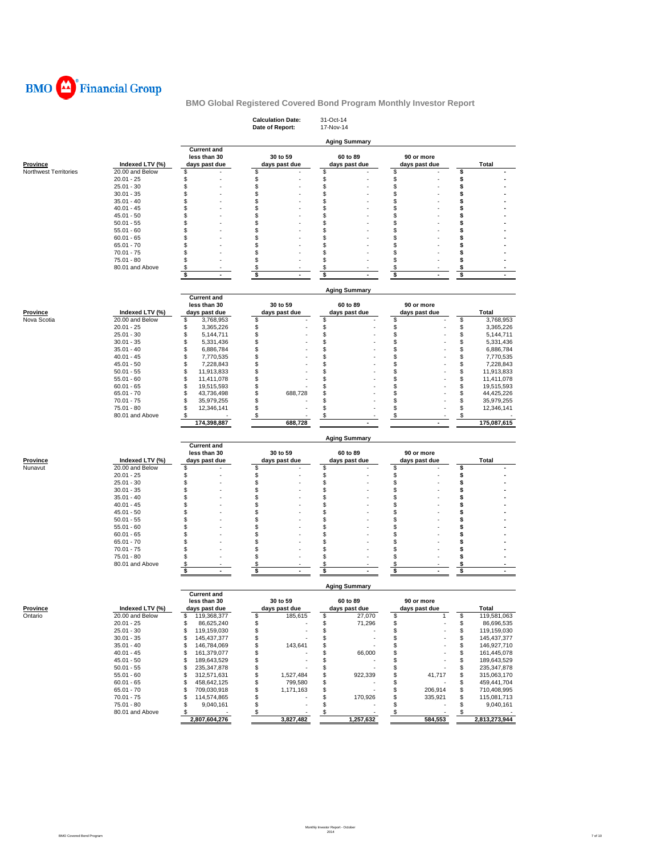

|                       |                                 |                                                     | <b>Calculation Date:</b><br>Date of Report: | 31-Oct-14<br>17-Nov-14                |                             |                                                   |
|-----------------------|---------------------------------|-----------------------------------------------------|---------------------------------------------|---------------------------------------|-----------------------------|---------------------------------------------------|
|                       |                                 |                                                     |                                             | <b>Aging Summary</b>                  |                             |                                                   |
| <b>Province</b>       | Indexed LTV (%)                 | <b>Current and</b><br>less than 30<br>days past due | 30 to 59<br>days past due                   | 60 to 89<br>days past due             | 90 or more<br>days past due | Total                                             |
| Northwest Territories | 20.00 and Below<br>$20.01 - 25$ | S<br>\$                                             | \$<br>\$                                    | \$<br>\$                              | \$<br>\$                    | \$<br>\$                                          |
|                       | $25.01 - 30$                    | S                                                   | \$                                          | \$                                    | \$                          | \$                                                |
|                       | $30.01 - 35$                    | \$                                                  | \$                                          | \$                                    | \$                          | \$                                                |
|                       | $35.01 - 40$                    | \$                                                  | \$                                          | \$                                    | \$                          | \$                                                |
|                       | $40.01 - 45$                    | \$                                                  | \$                                          | \$                                    | \$                          | S                                                 |
|                       | $45.01 - 50$                    | \$<br>S                                             | \$<br>\$                                    | \$<br>\$                              | \$                          | \$<br>\$                                          |
|                       | $50.01 - 55$<br>$55.01 - 60$    | \$                                                  | \$                                          | \$                                    | \$<br>\$                    | \$                                                |
|                       | $60.01 - 65$                    | S                                                   | \$                                          | S                                     | \$                          | S                                                 |
|                       | $65.01 - 70$                    | \$                                                  | \$                                          | \$                                    | \$                          | \$                                                |
|                       | $70.01 - 75$                    | S                                                   | \$                                          | \$                                    | \$                          | \$                                                |
|                       | 75.01 - 80                      | \$                                                  | \$                                          | \$                                    | \$                          | \$                                                |
|                       | 80.01 and Above                 | \$<br>\$<br>$\sim$                                  | \$<br>\$<br>$\overline{a}$                  | \$<br>\$<br>$\bullet$                 | \$<br>\$<br>$\blacksquare$  | \$<br>\$<br>$\sim$                                |
|                       |                                 |                                                     |                                             |                                       |                             |                                                   |
|                       |                                 | <b>Current and</b>                                  |                                             | <b>Aging Summary</b>                  |                             |                                                   |
| <b>Province</b>       | Indexed LTV (%)                 | less than 30<br>days past due                       | 30 to 59<br>days past due                   | 60 to 89<br>days past due             | 90 or more<br>days past due | <b>Total</b>                                      |
| Nova Scotia           | 20.00 and Below                 | \$<br>3,768,953                                     | \$                                          | \$                                    | \$                          | \$<br>3,768,953                                   |
|                       | $20.01 - 25$                    | \$<br>3,365,226                                     | \$                                          | \$                                    | \$                          | \$<br>3,365,226                                   |
|                       | $25.01 - 30$                    | \$<br>5,144,711                                     | \$                                          | \$                                    | \$                          | \$<br>5,144,711                                   |
|                       | $30.01 - 35$                    | \$<br>5,331,436                                     | \$                                          | \$                                    | \$                          | \$<br>5,331,436                                   |
|                       | $35.01 - 40$                    | \$<br>6,886,784                                     | \$                                          | \$                                    | \$                          | \$<br>6,886,784                                   |
|                       | $40.01 - 45$                    | \$<br>7,770,535                                     | \$                                          | \$                                    | \$                          | \$<br>7,770,535                                   |
|                       | $45.01 - 50$<br>$50.01 - 55$    | \$<br>7,228,843<br>\$<br>11,913,833                 | \$<br>\$                                    | \$<br>\$                              | \$<br>\$                    | \$<br>7,228,843<br>\$                             |
|                       | $55.01 - 60$                    | \$<br>11,411,078                                    | \$                                          | \$                                    | \$                          | 11,913,833<br>\$<br>11,411,078                    |
|                       | $60.01 - 65$                    | \$<br>19,515,593                                    | \$                                          | \$                                    | \$                          | \$<br>19,515,593                                  |
|                       | $65.01 - 70$                    | \$<br>43,736,498                                    | \$<br>688,728                               | S                                     | \$                          | \$<br>44,425,226                                  |
|                       | $70.01 - 75$                    | \$<br>35,979,255                                    | \$                                          | \$                                    | \$                          | \$<br>35,979,255                                  |
|                       | 75.01 - 80                      | \$<br>12,346,141                                    | \$                                          | \$                                    | \$                          | \$<br>12,346,141                                  |
|                       | 80.01 and Above                 | \$<br>174,398,887                                   | \$<br>688,728                               | \$                                    | \$<br>$\blacksquare$        | \$<br>175,087,615                                 |
|                       |                                 |                                                     |                                             |                                       |                             |                                                   |
|                       |                                 | <b>Current and</b>                                  |                                             | <b>Aging Summary</b>                  |                             |                                                   |
|                       |                                 | less than 30                                        | 30 to 59                                    | 60 to 89                              | 90 or more                  |                                                   |
| Province              | Indexed LTV (%)                 | days past due                                       | days past due                               | days past due                         | days past due               | Total                                             |
| Nunavut               | 20.00 and Below                 | \$                                                  | \$                                          | \$                                    | \$                          | \$                                                |
|                       | $20.01 - 25$                    | \$                                                  | \$                                          | \$                                    | \$                          | \$                                                |
|                       | $25.01 - 30$                    | \$<br>\$                                            | \$<br>\$                                    | \$<br>\$                              | \$<br>\$                    | \$<br>S                                           |
|                       | $30.01 - 35$<br>$35.01 - 40$    | \$                                                  | \$                                          | \$                                    | \$                          | \$                                                |
|                       | $40.01 - 45$                    | \$                                                  | \$                                          | S                                     | \$                          | \$                                                |
|                       | $45.01 - 50$                    | \$                                                  | \$                                          | \$                                    | \$                          | S                                                 |
|                       | $50.01 - 55$                    | S                                                   | \$                                          | \$                                    | \$                          | S                                                 |
|                       | $55.01 - 60$                    | \$                                                  | \$                                          | \$                                    | \$                          | \$                                                |
|                       | $60.01 - 65$                    | \$<br>S                                             | \$                                          | \$<br>\$                              | \$<br>\$                    | \$                                                |
|                       | $65.01 - 70$<br>$70.01 - 75$    | \$                                                  | \$<br>\$                                    | \$                                    | \$                          | \$<br>\$                                          |
|                       | 75.01 - 80                      | \$                                                  | \$                                          | \$                                    | \$                          | \$                                                |
|                       | 80.01 and Above                 | \$                                                  | \$                                          | \$                                    | \$                          | \$                                                |
|                       |                                 | \$                                                  | \$                                          | \$                                    | \$<br>٠                     | \$                                                |
|                       |                                 | <b>Current and</b>                                  |                                             | <b>Aging Summary</b>                  |                             |                                                   |
|                       |                                 | less than 30                                        | 30 to 59                                    | 60 to 89                              | 90 or more                  |                                                   |
| <b>Province</b>       | Indexed LTV (%)                 | days past due                                       | days past due                               | days past due                         | days past due               | <b>Total</b>                                      |
| Ontario               | 20.00 and Below                 | \$<br>119,368,377                                   | \$<br>185,615                               | \$<br>27,070                          | \$<br>1                     | \$<br>119,581,063                                 |
|                       | $20.01 - 25$                    | \$<br>86,625,240                                    | \$                                          | \$<br>71,296<br>\$                    | \$                          | \$<br>86,696,535                                  |
|                       |                                 |                                                     |                                             |                                       | \$                          | \$<br>119,159,030                                 |
|                       | $25.01 - 30$                    | \$<br>119,159,030                                   | \$                                          |                                       |                             |                                                   |
|                       | $30.01 - 35$                    | \$<br>145,437,377                                   | \$                                          | \$                                    | \$                          | \$<br>145, 437, 377                               |
|                       | $35.01 - 40$<br>$40.01 - 45$    | \$<br>146,784,069<br>161,379,077<br>\$              | \$<br>143,641                               | \$                                    | \$<br>\$                    | \$<br>146,927,710<br>161,445,078                  |
|                       | $45.01 - 50$                    | \$<br>189,643,529                                   | \$<br>\$                                    | \$<br>66,000<br>\$                    | \$                          | \$<br>\$<br>189,643,529                           |
|                       | $50.01 - 55$                    | \$<br>235, 347, 878                                 | \$                                          | \$                                    | \$                          | \$<br>235, 347, 878                               |
|                       | $55.01 - 60$                    | \$<br>312,571,631                                   | \$<br>1,527,484                             | \$<br>922,339                         | \$<br>41,717                | \$<br>315,063,170                                 |
|                       | $60.01 - 65$                    | \$<br>458,642,125                                   | \$<br>799,580                               | \$                                    | \$                          | \$<br>459,441,704                                 |
|                       | 65.01 - 70                      | 709,030,918<br>\$                                   | \$<br>1,171,163                             | \$                                    | \$<br>206,914               | \$<br>710,408,995                                 |
|                       | $70.01 - 75$                    | \$<br>114,574,865                                   | \$                                          | \$<br>170,926                         | \$<br>335,921               | \$<br>115,081,713                                 |
|                       | 75.01 - 80<br>80.01 and Above   | \$<br>9,040,161<br>\$<br>2,807,604,276              | \$<br>$\sqrt{3}$<br>3,827,482               | \$<br>$\mathbf{\hat{s}}$<br>1,257,632 | \$<br>$\sqrt{3}$<br>584,553 | \$<br>9,040,161<br>$\sqrt[6]{3}$<br>2,813,273,944 |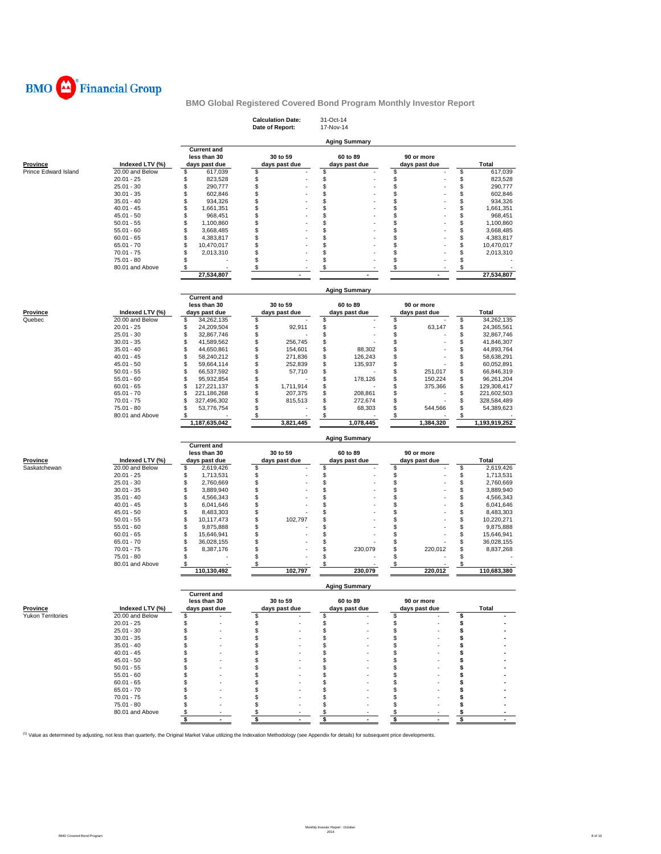

|                          |                                    |                                                     | <b>Calculation Date:</b><br>Date of Report: | 31-Oct-14<br>17-Nov-14         |                             |          |                          |
|--------------------------|------------------------------------|-----------------------------------------------------|---------------------------------------------|--------------------------------|-----------------------------|----------|--------------------------|
|                          |                                    |                                                     |                                             | <b>Aging Summary</b>           |                             |          |                          |
| <b>Province</b>          | Indexed LTV (%)                    | <b>Current and</b><br>less than 30<br>days past due | 30 to 59<br>days past due                   | 60 to 89<br>days past due      | 90 or more<br>days past due |          | <b>Total</b>             |
| Prince Edward Island     | 20.00 and Below                    | \$<br>617,039<br>823,528                            | \$                                          | \$                             | \$                          | \$       | 617,039                  |
|                          | $20.01 - 25$<br>$25.01 - 30$       | \$<br>\$<br>290,777                                 | \$<br>\$                                    | \$<br>\$                       | \$<br>\$                    | \$<br>\$ | 823,528<br>290,777       |
|                          | $30.01 - 35$                       | \$<br>602,846                                       | \$                                          | \$                             | \$                          | \$       | 602,846                  |
|                          | $35.01 - 40$                       | \$<br>934,326                                       | \$                                          | \$                             | \$                          | \$       | 934,326                  |
|                          | $40.01 - 45$                       | \$<br>1,661,351                                     | \$                                          | \$                             | \$                          | \$       | 1,661,351                |
|                          | $45.01 - 50$                       | \$<br>968,451                                       | \$                                          | \$                             | \$                          | \$       | 968,451                  |
|                          | $50.01 - 55$                       | \$<br>1,100,860                                     | \$                                          | \$                             | \$                          | \$       | 1,100,860                |
|                          | $55.01 - 60$                       | \$<br>3,668,485                                     | \$                                          | \$                             | \$                          | \$       | 3,668,485                |
|                          | $60.01 - 65$                       | \$<br>4,383,817                                     | \$                                          | \$                             | \$                          | \$       | 4,383,817                |
|                          | $65.01 - 70$<br>70.01 - 75         | \$<br>10,470,017<br>\$<br>2,013,310                 | \$<br>\$                                    | \$<br>\$                       | \$<br>\$                    | \$<br>\$ | 10,470,017<br>2,013,310  |
|                          | 75.01 - 80                         | \$                                                  | \$                                          | \$                             | \$                          | \$       |                          |
|                          | 80.01 and Above                    | - \$                                                | \$                                          | \$                             | \$                          | \$       |                          |
|                          |                                    | 27,534,807                                          |                                             |                                |                             |          | 27,534,807               |
|                          |                                    |                                                     |                                             | <b>Aging Summary</b>           |                             |          |                          |
|                          |                                    | <b>Current and</b><br>less than 30                  | 30 to 59                                    | 60 to 89                       | 90 or more                  |          |                          |
| <b>Province</b>          | Indexed LTV (%)                    | days past due                                       | days past due                               | days past due                  | days past due               |          | <b>Total</b>             |
| Quebec                   | 20.00 and Below                    | 34,262,135<br>\$                                    | \$                                          | \$                             | \$                          | \$       | 34,262,135               |
|                          | $20.01 - 25$                       | \$<br>24,209,504                                    | \$<br>92,911                                | \$                             | \$<br>63,147                | \$       | 24,365,561               |
|                          | $25.01 - 30$                       | \$<br>32,867,746                                    | \$                                          | \$                             | \$                          | \$       | 32,867,746               |
|                          | $30.01 - 35$                       | \$<br>41,589,562                                    | \$<br>256,745                               | \$                             | \$                          | \$       | 41,846,307               |
|                          | $35.01 - 40$                       | \$<br>44,650,861<br>\$                              | \$<br>154,601                               | \$<br>88,302                   | \$                          | \$       | 44,893,764               |
|                          | $40.01 - 45$<br>$45.01 - 50$       | 58,240,212<br>\$<br>59,664,114                      | \$<br>271,836<br>\$<br>252,839              | \$<br>126,243<br>\$<br>135,937 | \$<br>\$                    | \$<br>\$ | 58,638,291<br>60,052,891 |
|                          | $50.01 - 55$                       | \$<br>66,537,592                                    | \$<br>57,710                                | \$                             | \$<br>251,017               | \$       | 66,846,319               |
|                          | $55.01 - 60$                       | \$<br>95,932,854                                    | \$                                          | \$<br>178,126                  | \$<br>150,224               | \$       | 96,261,204               |
|                          | $60.01 - 65$                       | \$<br>127,221,137                                   | \$<br>1,711,914                             | \$                             | \$<br>375,366               | \$       | 129,308,417              |
|                          | $65.01 - 70$                       | \$<br>221,186,268                                   | \$<br>207,375                               | \$<br>208,861                  | \$                          | \$       | 221,602,503              |
|                          | $70.01 - 75$                       | \$<br>327,496,302                                   | \$<br>815,513                               | \$<br>272,674                  | \$                          | \$       | 328,584,489              |
|                          | $75.01 - 80$                       | \$<br>53,776,754                                    | \$                                          | \$<br>68,303                   | \$<br>544,566               | \$       | 54,389,623               |
|                          | 80.01 and Above                    | \$<br>1,187,635,042                                 | \$<br>3,821,445                             | \$<br>1,078,445                | \$<br>1,384,320             | \$       | 1,193,919,252            |
|                          |                                    |                                                     |                                             | <b>Aging Summary</b>           |                             |          |                          |
|                          |                                    | <b>Current and</b>                                  | 30 to 59                                    |                                | 90 or more                  |          |                          |
| Province                 | Indexed LTV (%)                    | less than 30<br>days past due                       | days past due                               | 60 to 89<br>days past due      | days past due               |          | <b>Total</b>             |
| Saskatchewan             | 20.00 and Below                    | \$<br>2,619,426                                     | \$                                          | \$                             | \$                          | \$       | 2,619,426                |
|                          | $20.01 - 25$                       | \$<br>1,713,531                                     | \$                                          |                                | \$                          |          | 1,713,531                |
|                          | $25.01 - 30$                       | \$<br>2,760,669                                     |                                             |                                |                             |          |                          |
|                          |                                    |                                                     | \$                                          | \$                             | \$                          | \$<br>\$ | 2,760,669                |
|                          | $30.01 - 35$                       | \$<br>3,889,940                                     | \$                                          | \$                             | \$                          | \$       | 3,889,940                |
|                          | $35.01 - 40$                       | \$<br>4,566,343                                     | \$                                          | \$                             | \$                          | \$       | 4,566,343                |
|                          | $40.01 - 45$                       | \$<br>6,041,646                                     | \$                                          | \$                             | \$                          | \$       | 6,041,646                |
|                          | $45.01 - 50$                       | \$<br>8,483,303                                     | \$                                          | \$                             | \$                          | \$       | 8,483,303                |
|                          | $50.01 - 55$                       | \$<br>10,117,473                                    | \$<br>102,797                               | \$                             | \$                          | \$       | 10,220,271               |
|                          | $55.01 - 60$<br>$60.01 - 65$       | \$<br>9,875,888                                     | \$                                          | \$                             | \$                          | \$       | 9,875,888                |
|                          | $65.01 - 70$                       | \$<br>15,646,941<br>\$<br>36,028,155                | \$<br>\$                                    | \$<br>\$                       | \$<br>\$                    | \$<br>\$ | 15,646,941<br>36,028,155 |
|                          | $70.01 - 75$                       | \$<br>8,387,176                                     | \$                                          | \$<br>230,079                  | \$<br>220,012               | \$       | 8,837,268                |
|                          | 75.01 - 80                         | \$                                                  | \$                                          | \$                             | \$                          | \$       |                          |
|                          | 80.01 and Above                    | \$<br>110,130,492                                   | \$<br>102,797                               | \$<br>230.079                  | \$<br>220.012               | \$       | 110,683,380              |
|                          |                                    |                                                     |                                             | <b>Aging Summary</b>           |                             |          |                          |
|                          |                                    | <b>Current and</b>                                  |                                             |                                |                             |          |                          |
| <b>Province</b>          |                                    | less than 30<br>days past due                       | 30 to 59<br>days past due                   | 60 to 89                       | 90 or more                  |          | <b>Total</b>             |
| <b>Yukon Territories</b> | Indexed LTV (%)<br>20.00 and Below | \$                                                  | \$                                          | days past due<br>\$            | days past due<br>\$         | \$       |                          |
|                          | $20.01 - 25$                       | \$                                                  | \$                                          | \$                             | \$                          | \$       |                          |
|                          | $25.01 - 30$                       | \$                                                  | \$                                          | \$                             | \$                          | \$       |                          |
|                          | $30.01 - 35$                       | \$                                                  | \$                                          | \$                             | \$                          | \$       |                          |
|                          | $35.01 - 40$                       | \$                                                  | \$                                          | \$                             | \$                          | s        |                          |
|                          | $40.01 - 45$                       | \$                                                  | S                                           | \$                             | \$                          | S        |                          |
|                          | $45.01 - 50$                       | \$<br>\$                                            | \$<br>\$                                    | \$                             | \$<br>\$                    | \$<br>s  |                          |
|                          | $50.01 - 55$<br>$55.01 - 60$       | S                                                   | S                                           | \$<br>\$                       | \$                          | s        |                          |
|                          | $60.01 - 65$                       | S.                                                  | \$                                          | \$                             | \$                          | \$       |                          |
|                          | $65.01 - 70$                       | S                                                   | \$                                          | \$                             | \$                          | s        |                          |
|                          | $70.01 - 75$                       |                                                     | \$                                          | \$                             | \$                          | \$       |                          |
|                          | 75.01 - 80                         | \$.                                                 | \$                                          | \$                             | \$                          | \$       |                          |
|                          | 80.01 and Above                    | \$<br>\$                                            | \$<br>\$                                    | \$<br>\$                       | \$<br>\$                    | \$<br>\$ |                          |

<sup>(1)</sup> Value as determined by adjusting, not less than quarterly, the Original Market Value utilizing the Indexation Methodology (see Appendix for details) for subsequent price developments.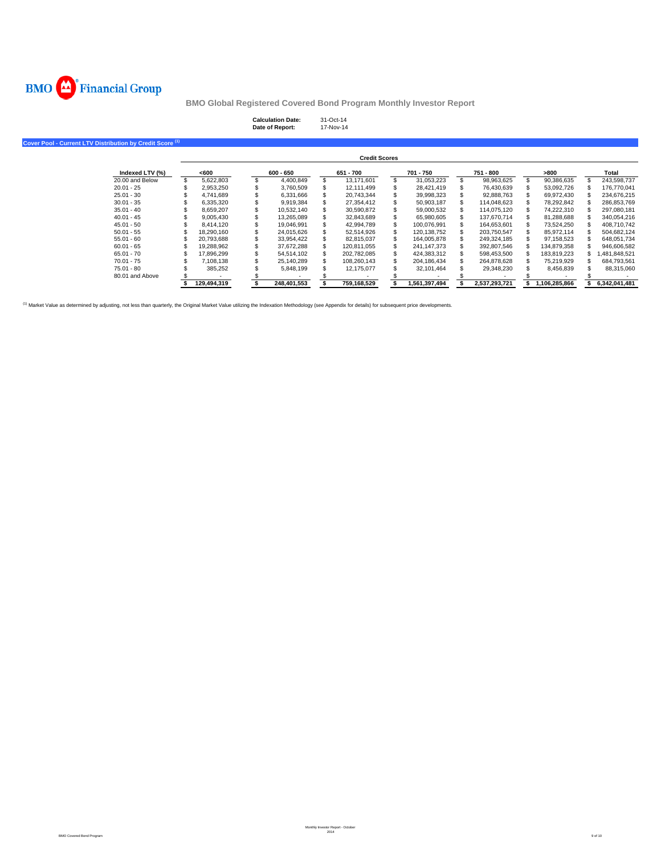

| <b>Calculation Date:</b> | $31-Ort-14$ |
|--------------------------|-------------|
| Date of Report:          | 17-Nov-14   |

**Cover Pool - Current LTV Distribution by Credit Score (1)**

|                 |             |    |             | <b>Credit Scores</b> |               |               |               |               |
|-----------------|-------------|----|-------------|----------------------|---------------|---------------|---------------|---------------|
| Indexed LTV (%) | <600        |    | $600 - 650$ | 651 - 700            | 701 - 750     | 751 - 800     | >800          | Total         |
| 20.00 and Below | 5.622.803   |    | 4.400.849   | 13.171.601           | 31.053.223    | 98.963.625    | 90,386,635    | 243.598.737   |
| $20.01 - 25$    | 2.953.250   |    | 3.760.509   | 12.111.499           | 28.421.419    | 76.430.639    | 53.092.726    | 176.770.041   |
| $25.01 - 30$    | 4.741.689   |    | 6.331.666   | 20.743.344           | 39.998.323    | 92.888.763    | 69.972.430    | 234.676.215   |
| $30.01 - 35$    | 6.335.320   |    | 9.919.384   | 27.354.412           | 50.903.187    | 114.048.623   | 78.292.842    | 286.853.769   |
| $35.01 - 40$    | 8.659.207   |    | 10.532.140  | 30.590.872           | 59.000.532    | 114.075.120   | 74.222.310    | 297.080.181   |
| $40.01 - 45$    | 9.005.430   |    | 13.265.089  | 32.843.689           | 65.980.605    | 137.670.714   | 81.288.688    | 340.054.216   |
| $45.01 - 50$    | 8.414.120   | æ. | 19.046.991  | 42.994.789           | 100.076.991   | 164.653.601   | 73.524.250    | 408.710.742   |
| $50.01 - 55$    | 18.290.160  |    | 24.015.626  | 52.514.926           | 120.138.752   | 203.750.547   | 85.972.114    | 504.682.124   |
| $55.01 - 60$    | 20.793.688  |    | 33.954.422  | 82.815.037           | 164.005.878   | 249.324.185   | 97.158.523    | 648.051.734   |
| $60.01 - 65$    | 19.288.962  |    | 37.672.288  | 120.811.055          | 241.147.373   | 392.807.546   | 134.879.358   | 946.606.582   |
| $65.01 - 70$    | 17.896.299  |    | 54.514.102  | 202.782.085          | 424.383.312   | 598.453.500   | 183.819.223   | .481,848,521  |
| $70.01 - 75$    | 7.108.138   |    | 25.140.289  | 108.260.143          | 204.186.434   | 264.878.628   | 75.219.929    | 684.793.561   |
| $75.01 - 80$    | 385.252     |    | 5.848.199   | 12.175.077           | 32.101.464    | 29.348.230    | 8.456.839     | 88.315.060    |
| 80.01 and Above |             |    |             |                      |               |               |               |               |
|                 | 129,494,319 |    | 248.401.553 | 759.168.529          | 1.561.397.494 | 2.537.293.721 | 1.106.285.866 | 6,342,041,481 |

<sup>(1)</sup> Market Value as determined by adjusting, not less than quarterly, the Original Market Value utilizing the Indexation Methodology (see Appendix for details) for subsequent price developments.